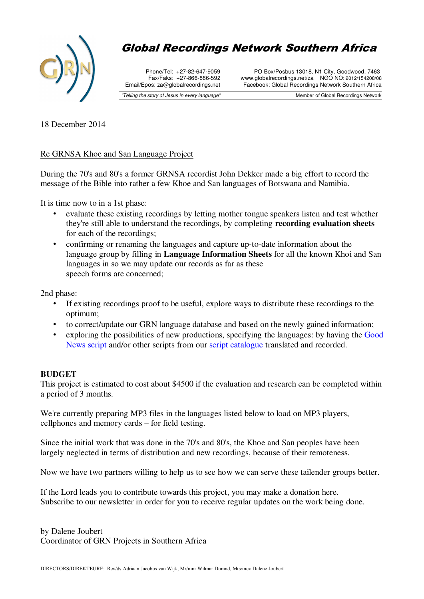

# Global Recordings Network Southern Africa

Phone/Tel: +27-82-647-9059 Fax/Faks: +27-866-886-592 Email/Epos: za@globalrecordings.net

"Telling the story of Jesus in every language"

PO Box/Posbus 13018, N1 City, Goodwood, 7463 www.globalrecordings.net/za NGO NO: 2012/154208/08 Facebook: Global Recordings Network Southern Africa

Member of Global Recordings Network

18 December 2014

## Re GRNSA Khoe and San Language Project

During the 70's and 80's a former GRNSA recordist John Dekker made a big effort to record the message of the Bible into rather a few Khoe and San languages of Botswana and Namibia.

It is time now to in a 1st phase:

- evaluate these existing recordings by letting mother tongue speakers listen and test whether they're still able to understand the recordings, by completing **recording evaluation sheets**  for each of the recordings;
- confirming or renaming the languages and capture up-to-date information about the language group by filling in **Language Information Sheets** for all the known Khoi and San languages in so we may update our records as far as these speech forms are concerned;

2nd phase:

- If existing recordings proof to be useful, explore ways to distribute these recordings to the optimum;
- to correct/update our GRN language database and based on the newly gained information;
- exploring the possibilities of new productions, specifying the languages: by having the Good News script and/or other scripts from our script catalogue translated and recorded.

## **BUDGET**

This project is estimated to cost about \$4500 if the evaluation and research can be completed within a period of 3 months.

We're currently preparing MP3 files in the languages listed below to load on MP3 players, cellphones and memory cards – for field testing.

Since the initial work that was done in the 70's and 80's, the Khoe and San peoples have been largely neglected in terms of distribution and new recordings, because of their remoteness.

Now we have two partners willing to help us to see how we can serve these tailender groups better.

If the Lord leads you to contribute towards this project, you may make a donation here. Subscribe to our newsletter in order for you to receive regular updates on the work being done.

by Dalene Joubert Coordinator of GRN Projects in Southern Africa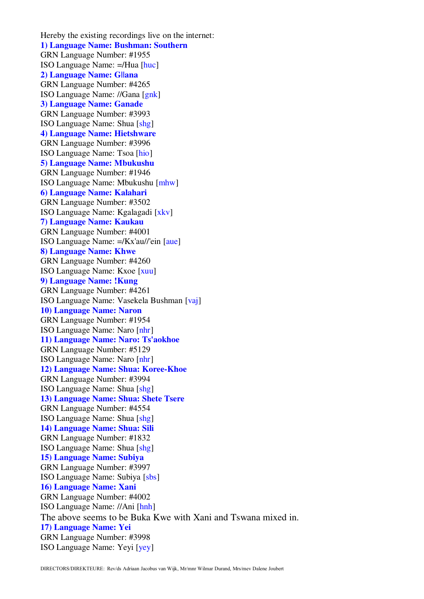Hereby the existing recordings live on the internet: **1) Language Name: Bushman: Southern** GRN Language Number: #1955 ISO Language Name: =/Hua [huc] **2) Language Name: G||ana** GRN Language Number: #4265 ISO Language Name: //Gana [gnk] **3) Language Name: Ganade** GRN Language Number: #3993 ISO Language Name: Shua [shg] **4) Language Name: Hietshware** GRN Language Number: #3996 ISO Language Name: Tsoa [hio] **5) Language Name: Mbukushu** GRN Language Number: #1946 ISO Language Name: Mbukushu [mhw] **6) Language Name: Kalahari** GRN Language Number: #3502 ISO Language Name: Kgalagadi [xkv] **7) Language Name: Kaukau** GRN Language Number: #4001 ISO Language Name: =/Kx'au//'ein [aue] **8) Language Name: Khwe** GRN Language Number: #4260 ISO Language Name: Kxoe [xuu] **9) Language Name: !Kung** GRN Language Number: #4261 ISO Language Name: Vasekela Bushman [vaj] **10) Language Name: Naron** GRN Language Number: #1954 ISO Language Name: Naro [nhr] **11) Language Name: Naro: Ts'aokhoe** GRN Language Number: #5129 ISO Language Name: Naro [nhr] **12) Language Name: Shua: Koree-Khoe** GRN Language Number: #3994 ISO Language Name: Shua [shg] **13) Language Name: Shua: Shete Tsere** GRN Language Number: #4554 ISO Language Name: Shua [shg] **14) Language Name: Shua: Sili** GRN Language Number: #1832 ISO Language Name: Shua [shg] **15) Language Name: Subiya** GRN Language Number: #3997 ISO Language Name: Subiya [sbs] **16) Language Name: Xani** GRN Language Number: #4002 ISO Language Name: //Ani [hnh] The above seems to be Buka Kwe with Xani and Tswana mixed in. **17) Language Name: Yei** GRN Language Number: #3998 ISO Language Name: Yeyi [yey]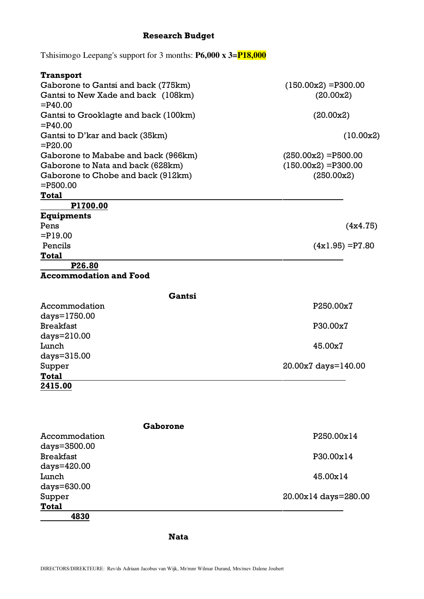# **Research Budget**

Tshisimogo Leepang's support for 3 months: **P6,000 x 3=P18,000**

| Transport                                     |                        |
|-----------------------------------------------|------------------------|
| Gaborone to Gantsi and back (775km)           | $(150.00x2) = P300.00$ |
| Gantsi to New Xade and back (108km)           | (20.00x2)              |
| $=$ P40.00                                    |                        |
| Gantsi to Grooklagte and back (100km)         | (20.00x2)              |
| $=$ P40.00                                    |                        |
| Gantsi to D'kar and back (35km)<br>$=$ P20.00 | (10.00x2)              |
| Gaborone to Mababe and back (966km)           | $(250.00x2) = P500.00$ |
| Gaborone to Nata and back (628km)             | $(150.00x2) = P300.00$ |
| Gaborone to Chobe and back (912km)            | (250.00x2)             |
| $=$ P500.00                                   |                        |
| <b>Total</b>                                  |                        |
| P1700.00                                      |                        |
| Equipments<br>Pens                            |                        |
| $=$ P19.00                                    | (4x4.75)               |
| Pencils                                       | $(4x1.95) = P7.80$     |
| <b>Total</b>                                  |                        |
| P <sub>26.80</sub>                            |                        |
| <b>Accommodation and Food</b>                 |                        |
| Gantsi                                        |                        |
| Accommodation                                 | P250.00x7              |
| days=1750.00                                  |                        |
| <b>Breakfast</b>                              | P30.00x7               |
| $days=210.00$                                 |                        |
| Lunch                                         | 45.00x7                |
| days=315.00                                   |                        |
| Supper                                        | 20.00x7 days=140.00    |
| <b>Total</b>                                  |                        |

**2415.00**

| Gaborone         |                      |
|------------------|----------------------|
| Accommodation    | P250.00x14           |
| days=3500.00     |                      |
| <b>Breakfast</b> | P30.00x14            |
| days=420.00      |                      |
| Lunch            | 45.00x14             |
| days=630.00      |                      |
| Supper           | 20.00x14 days=280.00 |
| <b>Total</b>     |                      |
| 4830             |                      |

## **Nata**